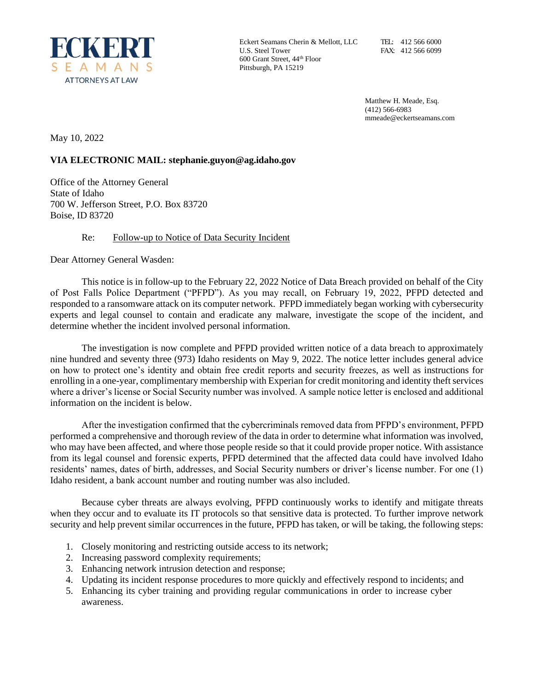

Eckert Seamans Cherin & Mellott, LLC U.S. Steel Tower 600 Grant Street, 44th Floor Pittsburgh, PA 15219

Matthew H. Meade, Esq. (412) 566-6983 mmeade@eckertseamans.com

May 10, 2022

# **VIA ELECTRONIC MAIL: stephanie.guyon@ag.idaho.gov**

Office of the Attorney General State of Idaho 700 W. Jefferson Street, P.O. Box 83720 Boise, ID 83720

## Re: Follow-up to Notice of Data Security Incident

Dear Attorney General Wasden:

This notice is in follow-up to the February 22, 2022 Notice of Data Breach provided on behalf of the City of Post Falls Police Department ("PFPD"). As you may recall, on February 19, 2022, PFPD detected and responded to a ransomware attack on its computer network. PFPD immediately began working with cybersecurity experts and legal counsel to contain and eradicate any malware, investigate the scope of the incident, and determine whether the incident involved personal information.

The investigation is now complete and PFPD provided written notice of a data breach to approximately nine hundred and seventy three (973) Idaho residents on May 9, 2022. The notice letter includes general advice on how to protect one's identity and obtain free credit reports and security freezes, as well as instructions for enrolling in a one-year, complimentary membership with Experian for credit monitoring and identity theft services where a driver's license or Social Security number was involved. A sample notice letter is enclosed and additional information on the incident is below.

After the investigation confirmed that the cybercriminals removed data from PFPD's environment, PFPD performed a comprehensive and thorough review of the data in order to determine what information was involved, who may have been affected, and where those people reside so that it could provide proper notice. With assistance from its legal counsel and forensic experts, PFPD determined that the affected data could have involved Idaho residents' names, dates of birth, addresses, and Social Security numbers or driver's license number. For one (1) Idaho resident, a bank account number and routing number was also included.

Because cyber threats are always evolving, PFPD continuously works to identify and mitigate threats when they occur and to evaluate its IT protocols so that sensitive data is protected. To further improve network security and help prevent similar occurrences in the future, PFPD has taken, or will be taking, the following steps:

- 1. Closely monitoring and restricting outside access to its network;
- 2. Increasing password complexity requirements;
- 3. Enhancing network intrusion detection and response;
- 4. Updating its incident response procedures to more quickly and effectively respond to incidents; and
- 5. Enhancing its cyber training and providing regular communications in order to increase cyber awareness.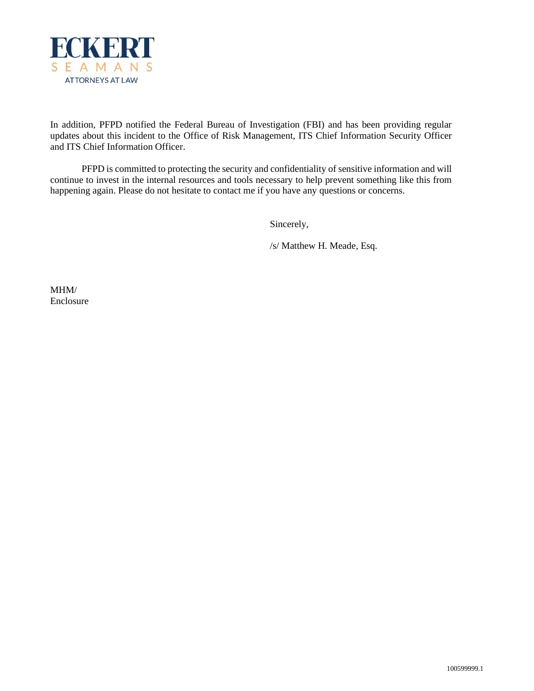

In addition, PFPD notified the Federal Bureau of Investigation (FBI) and has been providing regular updates about this incident to the Office of Risk Management, ITS Chief Information Security Officer and ITS Chief Information Officer.

PFPD is committed to protecting the security and confidentiality of sensitive information and will continue to invest in the internal resources and tools necessary to help prevent something like this from happening again. Please do not hesitate to contact me if you have any questions or concerns.

Sincerely,

/s/ Matthew H. Meade, Esq.

MHM/ Enclosure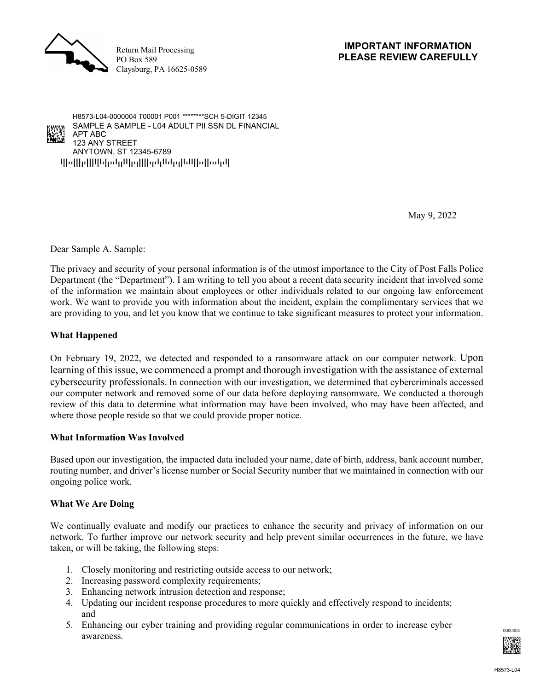

Return Mail Processing PO Box 589 Claysburg, PA 16625-0589



May 9, 2022

Dear Sample A. Sample:

The privacy and security of your personal information is of the utmost importance to the City of Post Falls Police Department (the "Department"). I am writing to tell you about a recent data security incident that involved some of the information we maintain about employees or other individuals related to our ongoing law enforcement work. We want to provide you with information about the incident, explain the complimentary services that we are providing to you, and let you know that we continue to take significant measures to protect your information.

#### **What Happened**

On February 19, 2022, we detected and responded to a ransomware attack on our computer network. Upon learning of this issue, we commenced a prompt and thorough investigation with the assistance of external cybersecurity professionals. In connection with our investigation, we determined that cybercriminals accessed our computer network and removed some of our data before deploying ransomware. We conducted a thorough review of this data to determine what information may have been involved, who may have been affected, and where those people reside so that we could provide proper notice.

#### **What Information Was Involved**

Based upon our investigation, the impacted data included your name, date of birth, address, bank account number, routing number, and driver's license number or Social Security number that we maintained in connection with our ongoing police work.

## **What We Are Doing**

We continually evaluate and modify our practices to enhance the security and privacy of information on our network. To further improve our network security and help prevent similar occurrences in the future, we have taken, or will be taking, the following steps:

- 1. Closely monitoring and restricting outside access to our network;
- 2. Increasing password complexity requirements;
- 3. Enhancing network intrusion detection and response;
- 4. Updating our incident response procedures to more quickly and effectively respond to incidents; and
- 5. Enhancing our cyber training and providing regular communications in order to increase cyber  $\frac{1}{2}$  awareness.

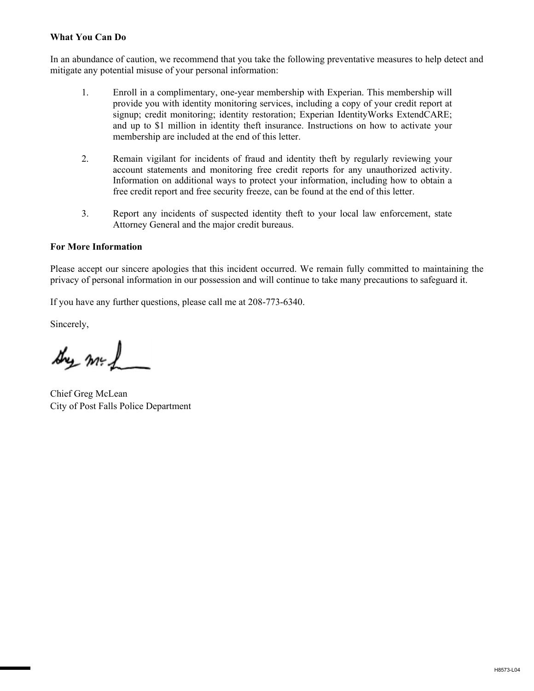# **What You Can Do**

In an abundance of caution, we recommend that you take the following preventative measures to help detect and mitigate any potential misuse of your personal information:

- 1. Enroll in a complimentary, one-year membership with Experian. This membership will provide you with identity monitoring services, including a copy of your credit report at signup; credit monitoring; identity restoration; Experian IdentityWorks ExtendCARE; and up to \$1 million in identity theft insurance. Instructions on how to activate your membership are included at the end of this letter.
- 2. Remain vigilant for incidents of fraud and identity theft by regularly reviewing your account statements and monitoring free credit reports for any unauthorized activity. Information on additional ways to protect your information, including how to obtain a free credit report and free security freeze, can be found at the end of this letter.
- 3. Report any incidents of suspected identity theft to your local law enforcement, state Attorney General and the major credit bureaus.

## **For More Information**

Please accept our sincere apologies that this incident occurred. We remain fully committed to maintaining the privacy of personal information in our possession and will continue to take many precautions to safeguard it.

If you have any further questions, please call me at 208-773-6340.

Sincerely,

they med

Chief Greg McLean City of Post Falls Police Department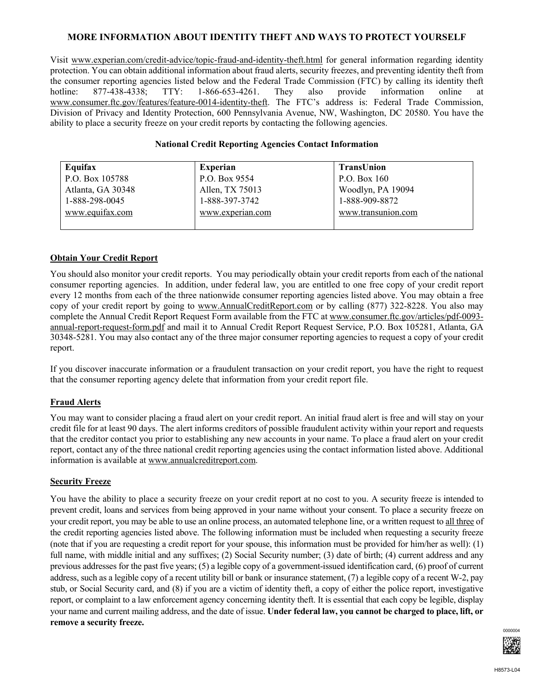## **MORE INFORMATION ABOUT IDENTITY THEFT AND WAYS TO PROTECT YOURSELF**

Visit www.experian.com/credit-advice/topic-fraud-and-identity-theft.html for general information regarding identity protection. You can obtain additional information about fraud alerts, security freezes, and preventing identity theft from the consumer reporting agencies listed below and the Federal Trade Commission (FTC) by calling its identity theft hotline: 877-438-4338; TTY: 1-866-653-4261. They also provide information online at www.consumer.ftc.gov/features/feature-0014-identity-theft. The FTC's address is: Federal Trade Commission, Division of Privacy and Identity Protection, 600 Pennsylvania Avenue, NW, Washington, DC 20580. You have the ability to place a security freeze on your credit reports by contacting the following agencies.

## **National Credit Reporting Agencies Contact Information**

| Equifax           | <b>Experian</b>  | <b>TransUnion</b>  |
|-------------------|------------------|--------------------|
| P.O. Box 105788   | P.O. Box 9554    | P.O. Box $160$     |
| Atlanta, GA 30348 | Allen, TX 75013  | Woodlyn, PA 19094  |
| 1-888-298-0045    | 1-888-397-3742   | 1-888-909-8872     |
| www.equifax.com   | www.experian.com | www.transunion.com |
|                   |                  |                    |

## **Obtain Your Credit Report**

You should also monitor your credit reports. You may periodically obtain your credit reports from each of the national consumer reporting agencies. In addition, under federal law, you are entitled to one free copy of your credit report every 12 months from each of the three nationwide consumer reporting agencies listed above. You may obtain a free copy of your credit report by going to www.AnnualCreditReport.com or by calling (877) 322-8228. You also may complete the Annual Credit Report Request Form available from the FTC at www.consumer.ftc.gov/articles/pdf-0093 annual-report-request-form.pdf and mail it to Annual Credit Report Request Service, P.O. Box 105281, Atlanta, GA 30348-5281. You may also contact any of the three major consumer reporting agencies to request a copy of your credit report.

If you discover inaccurate information or a fraudulent transaction on your credit report, you have the right to request that the consumer reporting agency delete that information from your credit report file.

#### **Fraud Alerts**

You may want to consider placing a fraud alert on your credit report. An initial fraud alert is free and will stay on your credit file for at least 90 days. The alert informs creditors of possible fraudulent activity within your report and requests that the creditor contact you prior to establishing any new accounts in your name. To place a fraud alert on your credit report, contact any of the three national credit reporting agencies using the contact information listed above. Additional information is available at www.annualcreditreport.com.

#### **Security Freeze**

You have the ability to place a security freeze on your credit report at no cost to you. A security freeze is intended to prevent credit, loans and services from being approved in your name without your consent. To place a security freeze on your credit report, you may be able to use an online process, an automated telephone line, or a written request to all three of the credit reporting agencies listed above. The following information must be included when requesting a security freeze (note that if you are requesting a credit report for your spouse, this information must be provided for him/her as well): (1) full name, with middle initial and any suffixes; (2) Social Security number; (3) date of birth; (4) current address and any previous addresses for the past five years; (5) a legible copy of a government-issued identification card, (6) proof of current address, such as a legible copy of a recent utility bill or bank or insurance statement, (7) a legible copy of a recent W-2, pay stub, or Social Security card, and (8) if you are a victim of identity theft, a copy of either the police report, investigative report, or complaint to a law enforcement agency concerning identity theft. It is essential that each copy be legible, display your name and current mailing address, and the date of issue. **Under federal law, you cannot be charged to place, lift, or remove a security freeze.**

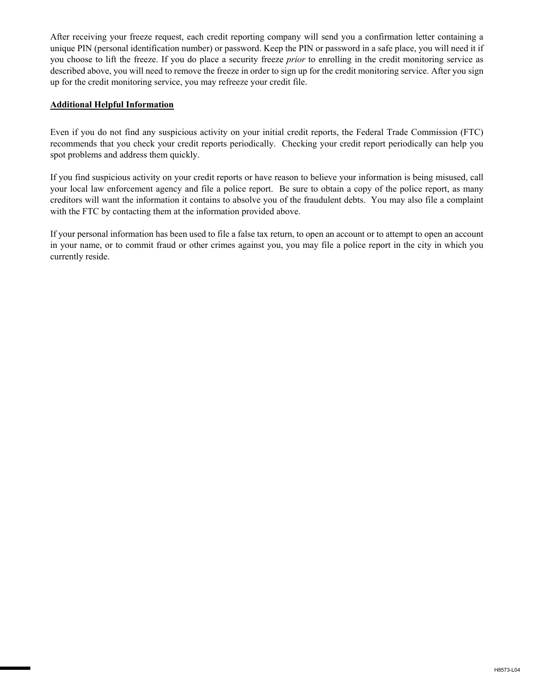After receiving your freeze request, each credit reporting company will send you a confirmation letter containing a unique PIN (personal identification number) or password. Keep the PIN or password in a safe place, you will need it if you choose to lift the freeze. If you do place a security freeze *prior* to enrolling in the credit monitoring service as described above, you will need to remove the freeze in order to sign up for the credit monitoring service. After you sign up for the credit monitoring service, you may refreeze your credit file.

## **Additional Helpful Information**

Even if you do not find any suspicious activity on your initial credit reports, the Federal Trade Commission (FTC) recommends that you check your credit reports periodically. Checking your credit report periodically can help you spot problems and address them quickly.

If you find suspicious activity on your credit reports or have reason to believe your information is being misused, call your local law enforcement agency and file a police report. Be sure to obtain a copy of the police report, as many creditors will want the information it contains to absolve you of the fraudulent debts. You may also file a complaint with the FTC by contacting them at the information provided above.

If your personal information has been used to file a false tax return, to open an account or to attempt to open an account in your name, or to commit fraud or other crimes against you, you may file a police report in the city in which you currently reside.